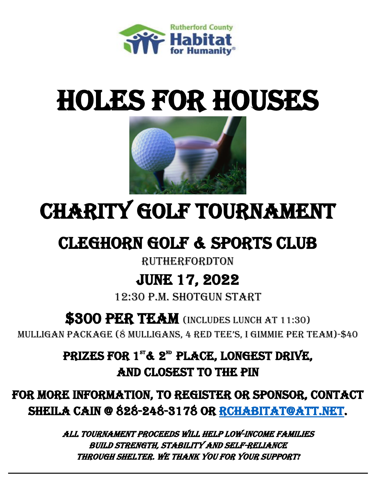

# **HOLES FOR HOUSES**



# CHARITY Golf tournament

## **CLEGHORN GOLF & SPORTS CLUB**

#### **RUTHERFORDTON**

## JUNE 17, 2022

12:30 P.M. Shotgun start

### **\$300 PER TEAM** (INCLUDES LUNCH AT 11:30)

mulligan package (8 mulligans, 4 red tee's, I gimmie per team)-\$40

PRIZES FOR 1"& 2<sup>m</sup> PLACE, LONGEST DRIVE, And Closest to the pin

For more information, to register or sponsor, Contact SHEILA CAIN @ 828-248-3178 OR RCHABITAT@ATT.NET.

> ALL TOURNAMENT PROCEEDS WILL HELP LOW-income FAMILIES BUILD STRENGTH, STABILITY AND SELF-RELIANCE THROUGH SHELTER. We thank you for your support!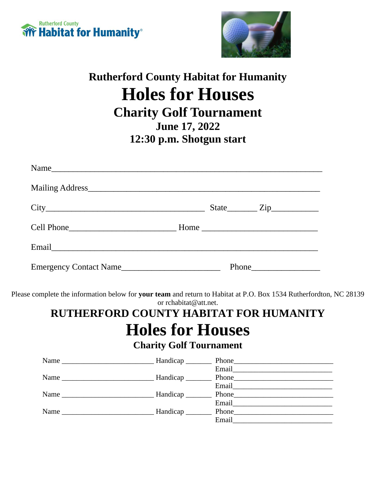



### **Rutherford County Habitat for Humanity Holes for Houses Charity Golf Tournament June 17, 2022 12:30 p.m. Shotgun start**

| Name                   |               |
|------------------------|---------------|
|                        |               |
|                        | $State$ $Zip$ |
|                        |               |
| Email                  |               |
| Emergency Contact Name |               |

Please complete the information below for **your team** and return to Habitat at P.O. Box 1534 Rutherfordton, NC 28139 or rchabitat@att.net.

#### **RUTHERFORD COUNTY HABITAT FOR HUMANITY Holes for Houses Charity Golf Tournament**

| Name | Handicap                     |                                                                                                                                                                                                                               |  |
|------|------------------------------|-------------------------------------------------------------------------------------------------------------------------------------------------------------------------------------------------------------------------------|--|
|      |                              |                                                                                                                                                                                                                               |  |
|      |                              |                                                                                                                                                                                                                               |  |
|      |                              | Email and the contract of the contract of the contract of the contract of the contract of the contract of the contract of the contract of the contract of the contract of the contract of the contract of the contract of the |  |
|      |                              |                                                                                                                                                                                                                               |  |
|      |                              | Email and the contract of the contract of the contract of the contract of the contract of the contract of the contract of the contract of the contract of the contract of the contract of the contract of the contract of the |  |
| Name | Handicap <sub>________</sub> | $Phone_$                                                                                                                                                                                                                      |  |
|      |                              | Email                                                                                                                                                                                                                         |  |